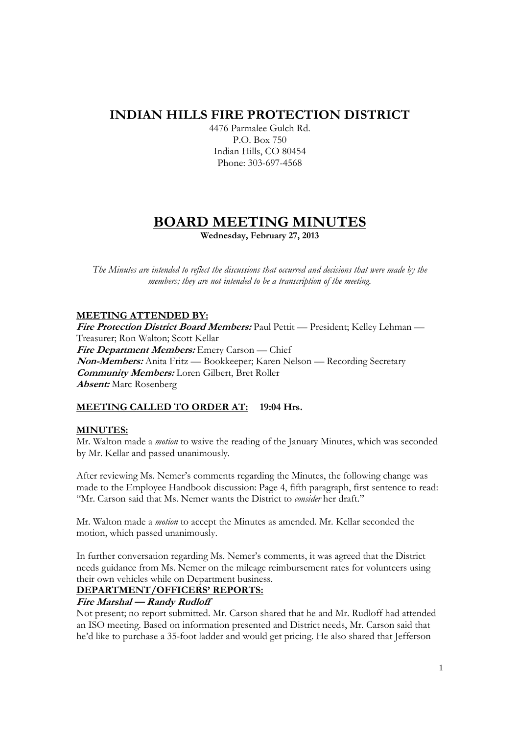## **INDIAN HILLS FIRE PROTECTION DISTRICT**

4476 Parmalee Gulch Rd. P.O. Box 750 Indian Hills, CO 80454 Phone: 303-697-4568

# **BOARD MEETING MINUTES**

**Wednesday, February 27, 2013** 

*The Minutes are intended to reflect the discussions that occurred and decisions that were made by the members; they are not intended to be a transcription of the meeting.* 

## **MEETING ATTENDED BY:**

**Fire Protection District Board Members:** Paul Pettit — President; Kelley Lehman — Treasurer; Ron Walton; Scott Kellar **Fire Department Members:** Emery Carson — Chief **Non-Members:** Anita Fritz — Bookkeeper; Karen Nelson — Recording Secretary **Community Members:** Loren Gilbert, Bret Roller **Absent:** Marc Rosenberg

## **MEETING CALLED TO ORDER AT: 19:04 Hrs.**

## **MINUTES:**

Mr. Walton made a *motion* to waive the reading of the January Minutes, which was seconded by Mr. Kellar and passed unanimously.

After reviewing Ms. Nemer's comments regarding the Minutes, the following change was made to the Employee Handbook discussion: Page 4, fifth paragraph, first sentence to read: "Mr. Carson said that Ms. Nemer wants the District to *consider* her draft."

Mr. Walton made a *motion* to accept the Minutes as amended. Mr. Kellar seconded the motion, which passed unanimously.

In further conversation regarding Ms. Nemer's comments, it was agreed that the District needs guidance from Ms. Nemer on the mileage reimbursement rates for volunteers using their own vehicles while on Department business.

## **DEPARTMENT/OFFICERS' REPORTS:**

## **Fire Marshal — Randy Rudloff**

Not present; no report submitted. Mr. Carson shared that he and Mr. Rudloff had attended an ISO meeting. Based on information presented and District needs, Mr. Carson said that he'd like to purchase a 35-foot ladder and would get pricing. He also shared that Jefferson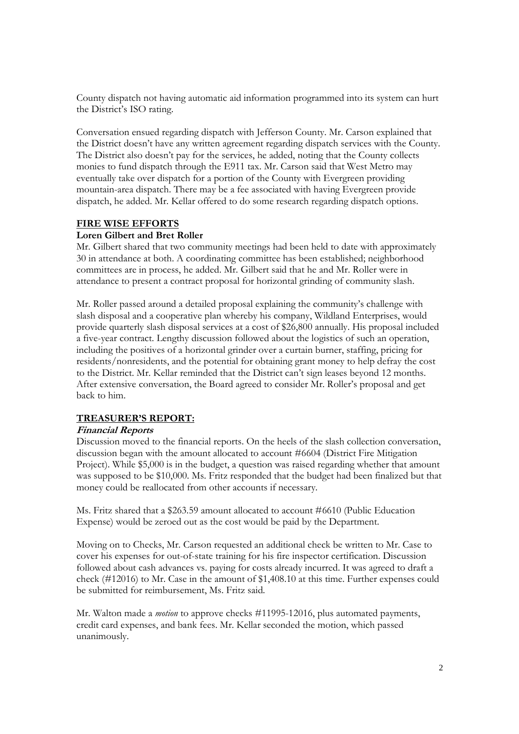County dispatch not having automatic aid information programmed into its system can hurt the District's ISO rating.

Conversation ensued regarding dispatch with Jefferson County. Mr. Carson explained that the District doesn't have any written agreement regarding dispatch services with the County. The District also doesn't pay for the services, he added, noting that the County collects monies to fund dispatch through the E911 tax. Mr. Carson said that West Metro may eventually take over dispatch for a portion of the County with Evergreen providing mountain-area dispatch. There may be a fee associated with having Evergreen provide dispatch, he added. Mr. Kellar offered to do some research regarding dispatch options.

#### **FIRE WISE EFFORTS**

#### **Loren Gilbert and Bret Roller**

Mr. Gilbert shared that two community meetings had been held to date with approximately 30 in attendance at both. A coordinating committee has been established; neighborhood committees are in process, he added. Mr. Gilbert said that he and Mr. Roller were in attendance to present a contract proposal for horizontal grinding of community slash.

Mr. Roller passed around a detailed proposal explaining the community's challenge with slash disposal and a cooperative plan whereby his company, Wildland Enterprises, would provide quarterly slash disposal services at a cost of \$26,800 annually. His proposal included a five-year contract. Lengthy discussion followed about the logistics of such an operation, including the positives of a horizontal grinder over a curtain burner, staffing, pricing for residents/nonresidents, and the potential for obtaining grant money to help defray the cost to the District. Mr. Kellar reminded that the District can't sign leases beyond 12 months. After extensive conversation, the Board agreed to consider Mr. Roller's proposal and get back to him.

## **TREASURER'S REPORT:**

#### **Financial Reports**

Discussion moved to the financial reports. On the heels of the slash collection conversation, discussion began with the amount allocated to account #6604 (District Fire Mitigation Project). While \$5,000 is in the budget, a question was raised regarding whether that amount was supposed to be \$10,000. Ms. Fritz responded that the budget had been finalized but that money could be reallocated from other accounts if necessary.

Ms. Fritz shared that a \$263.59 amount allocated to account #6610 (Public Education Expense) would be zeroed out as the cost would be paid by the Department.

Moving on to Checks, Mr. Carson requested an additional check be written to Mr. Case to cover his expenses for out-of-state training for his fire inspector certification. Discussion followed about cash advances vs. paying for costs already incurred. It was agreed to draft a check (#12016) to Mr. Case in the amount of \$1,408.10 at this time. Further expenses could be submitted for reimbursement, Ms. Fritz said.

Mr. Walton made a *motion* to approve checks #11995-12016, plus automated payments, credit card expenses, and bank fees. Mr. Kellar seconded the motion, which passed unanimously.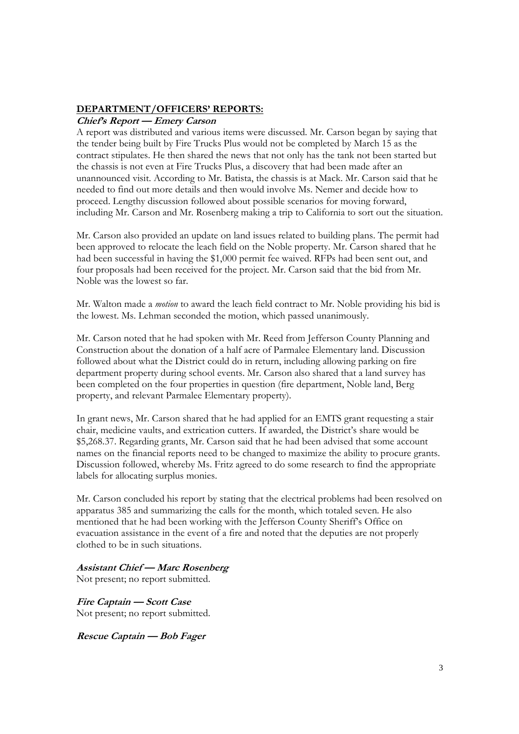#### **DEPARTMENT/OFFICERS' REPORTS:**

#### **Chief's Report — Emery Carson**

A report was distributed and various items were discussed. Mr. Carson began by saying that the tender being built by Fire Trucks Plus would not be completed by March 15 as the contract stipulates. He then shared the news that not only has the tank not been started but the chassis is not even at Fire Trucks Plus, a discovery that had been made after an unannounced visit. According to Mr. Batista, the chassis is at Mack. Mr. Carson said that he needed to find out more details and then would involve Ms. Nemer and decide how to proceed. Lengthy discussion followed about possible scenarios for moving forward, including Mr. Carson and Mr. Rosenberg making a trip to California to sort out the situation.

Mr. Carson also provided an update on land issues related to building plans. The permit had been approved to relocate the leach field on the Noble property. Mr. Carson shared that he had been successful in having the \$1,000 permit fee waived. RFPs had been sent out, and four proposals had been received for the project. Mr. Carson said that the bid from Mr. Noble was the lowest so far.

Mr. Walton made a *motion* to award the leach field contract to Mr. Noble providing his bid is the lowest. Ms. Lehman seconded the motion, which passed unanimously.

Mr. Carson noted that he had spoken with Mr. Reed from Jefferson County Planning and Construction about the donation of a half acre of Parmalee Elementary land. Discussion followed about what the District could do in return, including allowing parking on fire department property during school events. Mr. Carson also shared that a land survey has been completed on the four properties in question (fire department, Noble land, Berg property, and relevant Parmalee Elementary property).

In grant news, Mr. Carson shared that he had applied for an EMTS grant requesting a stair chair, medicine vaults, and extrication cutters. If awarded, the District's share would be \$5,268.37. Regarding grants, Mr. Carson said that he had been advised that some account names on the financial reports need to be changed to maximize the ability to procure grants. Discussion followed, whereby Ms. Fritz agreed to do some research to find the appropriate labels for allocating surplus monies.

Mr. Carson concluded his report by stating that the electrical problems had been resolved on apparatus 385 and summarizing the calls for the month, which totaled seven. He also mentioned that he had been working with the Jefferson County Sheriff's Office on evacuation assistance in the event of a fire and noted that the deputies are not properly clothed to be in such situations.

#### **Assistant Chief — Marc Rosenberg**

Not present; no report submitted.

**Fire Captain — Scott Case**  Not present; no report submitted.

**Rescue Captain — Bob Fager**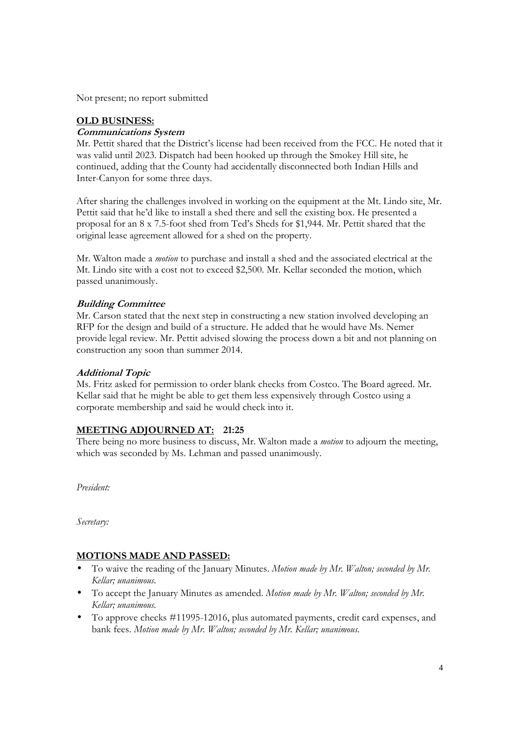Not present; no report submitted

## **OLD BUSINESS:**

## **Communications System**

Mr. Pettit shared that the District's license had been received from the FCC. He noted that it was valid until 2023. Dispatch had been hooked up through the Smokey Hill site, he continued, adding that the County had accidentally disconnected both Indian Hills and Inter-Canyon for some three days.

After sharing the challenges involved in working on the equipment at the Mt. Lindo site, Mr. Pettit said that he'd like to install a shed there and sell the existing box. He presented a proposal for an 8 x 7.5-foot shed from Ted's Sheds for \$1,944. Mr. Pettit shared that the original lease agreement allowed for a shed on the property.

Mr. Walton made a *motion* to purchase and install a shed and the associated electrical at the Mt. Lindo site with a cost not to exceed \$2,500. Mr. Kellar seconded the motion, which passed unanimously.

## **Building Committee**

Mr. Carson stated that the next step in constructing a new station involved developing an RFP for the design and build of a structure. He added that he would have Ms. Nemer provide legal review. Mr. Pettit advised slowing the process down a bit and not planning on construction any soon than summer 2014.

## **Additional Topic**

Ms. Fritz asked for permission to order blank checks from Costco. The Board agreed. Mr. Kellar said that he might be able to get them less expensively through Costco using a corporate membership and said he would check into it.

## **MEETING ADJOURNED AT: 21:25**

There being no more business to discuss, Mr. Walton made a *motion* to adjourn the meeting, which was seconded by Ms. Lehman and passed unanimously.

*President:* 

*Secretary:* 

## **MOTIONS MADE AND PASSED:**

- To waive the reading of the January Minutes. *Motion made by Mr. Walton; seconded by Mr. Kellar; unanimous.*
- To accept the January Minutes as amended. *Motion made by Mr. Walton; seconded by Mr. Kellar; unanimous.*
- To approve checks #11995-12016, plus automated payments, credit card expenses, and bank fees. *Motion made by Mr. Walton; seconded by Mr. Kellar; unanimous.*